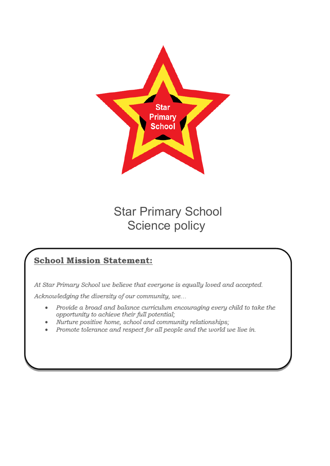

## Star Primary School Science policy

### **School Mission Statement:**

At Star Primary School we believe that everyone is equally loved and accepted.

Acknowledging the diversity of our community, we...

- Provide a broad and balance curriculum encouraging every child to take the  $\bullet$ opportunity to achieve their full potential;
- Nurture positive home, school and community relationships;
- Promote tolerance and respect for all people and the world we live in.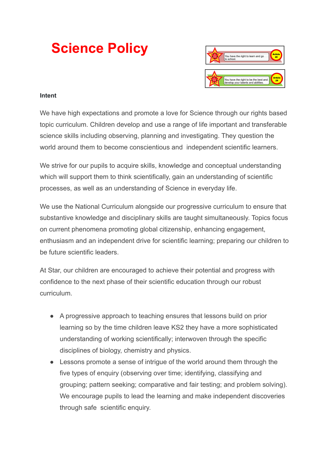# **Science Policy**



#### **Intent**

We have high expectations and promote a love for Science through our rights based topic curriculum. Children develop and use a range of life important and transferable science skills including observing, planning and investigating. They question the world around them to become conscientious and independent scientific learners.

We strive for our pupils to acquire skills, knowledge and conceptual understanding which will support them to think scientifically, gain an understanding of scientific processes, as well as an understanding of Science in everyday life.

We use the National Curriculum alongside our progressive curriculum to ensure that substantive knowledge and disciplinary skills are taught simultaneously. Topics focus on current phenomena promoting global citizenship, enhancing engagement, enthusiasm and an independent drive for scientific learning; preparing our children to be future scientific leaders.

At Star, our children are encouraged to achieve their potential and progress with confidence to the next phase of their scientific education through our robust curriculum.

- A progressive approach to teaching ensures that lessons build on prior learning so by the time children leave KS2 they have a more sophisticated understanding of working scientifically; interwoven through the specific disciplines of biology, chemistry and physics.
- Lessons promote a sense of intrigue of the world around them through the five types of enquiry (observing over time; identifying, classifying and grouping; pattern seeking; comparative and fair testing; and problem solving). We encourage pupils to lead the learning and make independent discoveries through safe scientific enquiry.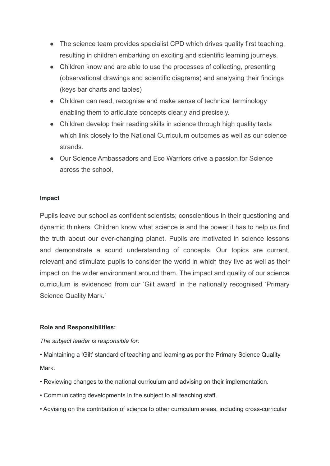- The science team provides specialist CPD which drives quality first teaching, resulting in children embarking on exciting and scientific learning journeys.
- Children know and are able to use the processes of collecting, presenting (observational drawings and scientific diagrams) and analysing their findings (keys bar charts and tables)
- Children can read, recognise and make sense of technical terminology enabling them to articulate concepts clearly and precisely.
- Children develop their reading skills in science through high quality texts which link closely to the National Curriculum outcomes as well as our science strands.
- Our Science Ambassadors and Eco Warriors drive a passion for Science across the school.

#### **Impact**

Pupils leave our school as confident scientists; conscientious in their questioning and dynamic thinkers. Children know what science is and the power it has to help us find the truth about our ever-changing planet. Pupils are motivated in science lessons and demonstrate a sound understanding of concepts. Our topics are current, relevant and stimulate pupils to consider the world in which they live as well as their impact on the wider environment around them. The impact and quality of our science curriculum is evidenced from our 'Gilt award' in the nationally recognised 'Primary Science Quality Mark.'

#### **Role and Responsibilities:**

#### *The subject leader is responsible for:*

- Maintaining a 'Gilt' standard of teaching and learning as per the Primary Science Quality Mark.
- Reviewing changes to the national curriculum and advising on their implementation.
- Communicating developments in the subject to all teaching staff.
- Advising on the contribution of science to other curriculum areas, including cross-curricular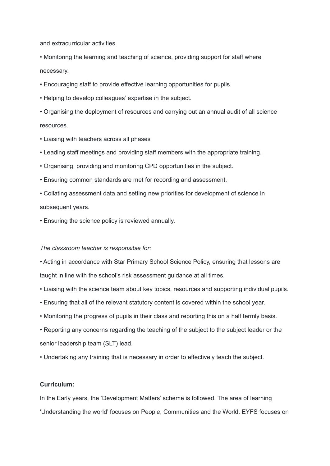and extracurricular activities.

• Monitoring the learning and teaching of science, providing support for staff where necessary.

• Encouraging staff to provide effective learning opportunities for pupils.

• Helping to develop colleagues' expertise in the subject.

• Organising the deployment of resources and carrying out an annual audit of all science resources.

- Liaising with teachers across all phases
- Leading staff meetings and providing staff members with the appropriate training.
- Organising, providing and monitoring CPD opportunities in the subject.
- Ensuring common standards are met for recording and assessment.
- Collating assessment data and setting new priorities for development of science in subsequent years.
- Ensuring the science policy is reviewed annually.

#### *The classroom teacher is responsible for:*

• Acting in accordance with Star Primary School Science Policy, ensuring that lessons are taught in line with the school's risk assessment guidance at all times.

- Liaising with the science team about key topics, resources and supporting individual pupils.
- Ensuring that all of the relevant statutory content is covered within the school year.
- Monitoring the progress of pupils in their class and reporting this on a half termly basis.
- Reporting any concerns regarding the teaching of the subject to the subject leader or the senior leadership team (SLT) lead.
- Undertaking any training that is necessary in order to effectively teach the subject.

#### **Curriculum:**

In the Early years, the 'Development Matters' scheme is followed. The area of learning 'Understanding the world' focuses on People, Communities and the World. EYFS focuses on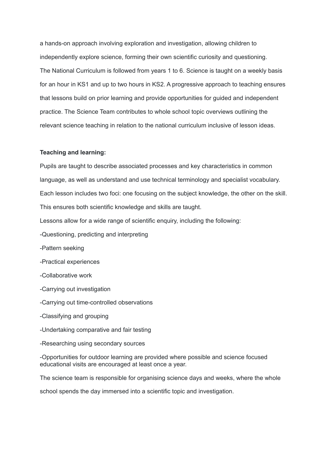a hands-on approach involving exploration and investigation, allowing children to independently explore science, forming their own scientific curiosity and questioning. The National Curriculum is followed from years 1 to 6. Science is taught on a weekly basis for an hour in KS1 and up to two hours in KS2. A progressive approach to teaching ensures that lessons build on prior learning and provide opportunities for guided and independent practice. The Science Team contributes to whole school topic overviews outlining the relevant science teaching in relation to the national curriculum inclusive of lesson ideas.

#### **Teaching and learning:**

Pupils are taught to describe associated processes and key characteristics in common language, as well as understand and use technical terminology and specialist vocabulary. Each lesson includes two foci: one focusing on the subject knowledge, the other on the skill. This ensures both scientific knowledge and skills are taught.

Lessons allow for a wide range of scientific enquiry, including the following:

-Questioning, predicting and interpreting

- -Pattern seeking
- -Practical experiences
- -Collaborative work
- -Carrying out investigation
- -Carrying out time-controlled observations
- -Classifying and grouping
- -Undertaking comparative and fair testing
- -Researching using secondary sources

-Opportunities for outdoor learning are provided where possible and science focused educational visits are encouraged at least once a year.

The science team is responsible for organising science days and weeks, where the whole

school spends the day immersed into a scientific topic and investigation.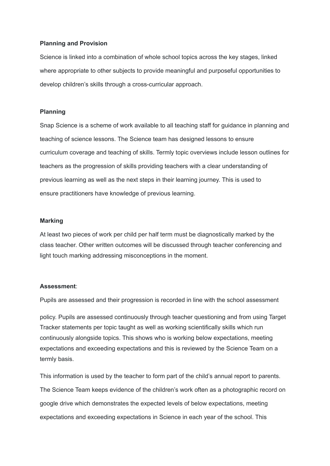#### **Planning and Provision**

Science is linked into a combination of whole school topics across the key stages, linked where appropriate to other subjects to provide meaningful and purposeful opportunities to develop children's skills through a cross-curricular approach.

#### **Planning**

Snap Science is a scheme of work available to all teaching staff for guidance in planning and teaching of science lessons. The Science team has designed lessons to ensure curriculum coverage and teaching of skills. Termly topic overviews include lesson outlines for teachers as the progression of skills providing teachers with a clear understanding of previous learning as well as the next steps in their learning journey. This is used to ensure practitioners have knowledge of previous learning.

#### **Marking**

At least two pieces of work per child per half term must be diagnostically marked by the class teacher. Other written outcomes will be discussed through teacher conferencing and light touch marking addressing misconceptions in the moment.

#### **Assessment**:

Pupils are assessed and their progression is recorded in line with the school assessment

policy. Pupils are assessed continuously through teacher questioning and from using Target Tracker statements per topic taught as well as working scientifically skills which run continuously alongside topics. This shows who is working below expectations, meeting expectations and exceeding expectations and this is reviewed by the Science Team on a termly basis.

This information is used by the teacher to form part of the child's annual report to parents. The Science Team keeps evidence of the children's work often as a photographic record on google drive which demonstrates the expected levels of below expectations, meeting expectations and exceeding expectations in Science in each year of the school. This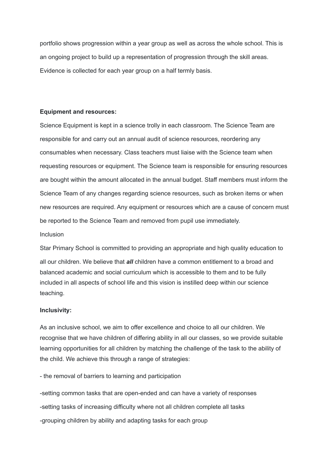portfolio shows progression within a year group as well as across the whole school. This is an ongoing project to build up a representation of progression through the skill areas. Evidence is collected for each year group on a half termly basis.

#### **Equipment and resources:**

Science Equipment is kept in a science trolly in each classroom. The Science Team are responsible for and carry out an annual audit of science resources, reordering any consumables when necessary. Class teachers must liaise with the Science team when requesting resources or equipment. The Science team is responsible for ensuring resources are bought within the amount allocated in the annual budget. Staff members must inform the Science Team of any changes regarding science resources, such as broken items or when new resources are required. Any equipment or resources which are a cause of concern must be reported to the Science Team and removed from pupil use immediately.

#### Inclusion

Star Primary School is committed to providing an appropriate and high quality education to all our children. We believe that *all* children have a common entitlement to a broad and balanced academic and social curriculum which is accessible to them and to be fully included in all aspects of school life and this vision is instilled deep within our science teaching.

#### **Inclusivity:**

As an inclusive school, we aim to offer excellence and choice to all our children. We recognise that we have children of differing ability in all our classes, so we provide suitable learning opportunities for all children by matching the challenge of the task to the ability of the child. We achieve this through a range of strategies:

#### - the removal of barriers to learning and participation

-setting common tasks that are open-ended and can have a variety of responses -setting tasks of increasing difficulty where not all children complete all tasks -grouping children by ability and adapting tasks for each group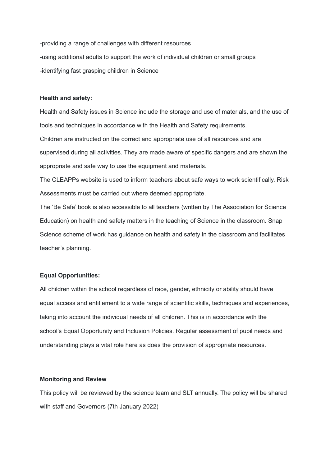-providing a range of challenges with different resources -using additional adults to support the work of individual children or small groups -identifying fast grasping children in Science

#### **Health and safety:**

Health and Safety issues in Science include the storage and use of materials, and the use of tools and techniques in accordance with the Health and Safety requirements.

Children are instructed on the correct and appropriate use of all resources and are supervised during all activities. They are made aware of specific dangers and are shown the appropriate and safe way to use the equipment and materials.

The CLEAPPs website is used to inform teachers about safe ways to work scientifically. Risk Assessments must be carried out where deemed appropriate.

The 'Be Safe' book is also accessible to all teachers (written by The Association for Science Education) on health and safety matters in the teaching of Science in the classroom. Snap Science scheme of work has guidance on health and safety in the classroom and facilitates teacher's planning.

#### **Equal Opportunities:**

All children within the school regardless of race, gender, ethnicity or ability should have equal access and entitlement to a wide range of scientific skills, techniques and experiences, taking into account the individual needs of all children. This is in accordance with the school's Equal Opportunity and Inclusion Policies. Regular assessment of pupil needs and understanding plays a vital role here as does the provision of appropriate resources.

#### **Monitoring and Review**

This policy will be reviewed by the science team and SLT annually. The policy will be shared with staff and Governors (7th January 2022)